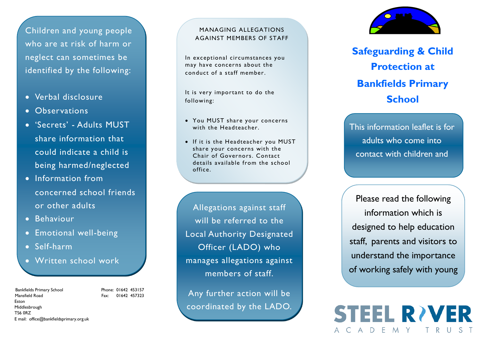Children and young people who are at risk of harm or neglect can sometimes be identified by the following:

- Verbal disclosure
- Observations
- 'Secrets' Adults MUST share information that could indicate a child is being harmed/neglected
- Information from concerned school friends or other adults
- **•** Behaviour
- **•** Emotional well-being
- Self -harm
- Written school work

#### Bankfields Primary School Phone: 01642 453157 Mansfield Road Fax: 01642 457323 Eston Middlesbrough TS6 0RZ E mail: office@bankfieldsprimary.org.uk

#### MANAGING ALLEGATIONS AGAINST MEMBERS OF STAFF

In exceptional circumstances you may have concerns about the conduct of a staff member.

It is very important to do the following:

- You MUST share your concerns with the Headteacher.
- If it is the Headteacher you MUST share your concerns with the Chair of Governors. Contact details available from the school office.

Allegations against staff will be referred to the Local Authority Designated Officer (LADO) who manages allegations against members of staff.

Any further action will be coordinated by the LADO.



**Safeguarding & Child Protection at Bankfields Primary School**

This information leaflet is for adults who come into contact with children and

Please read the following information which is designed to help education staff, parents and visitors to understand the importance of working safely with young

**STEEL RIVER** 

MY

C A D E